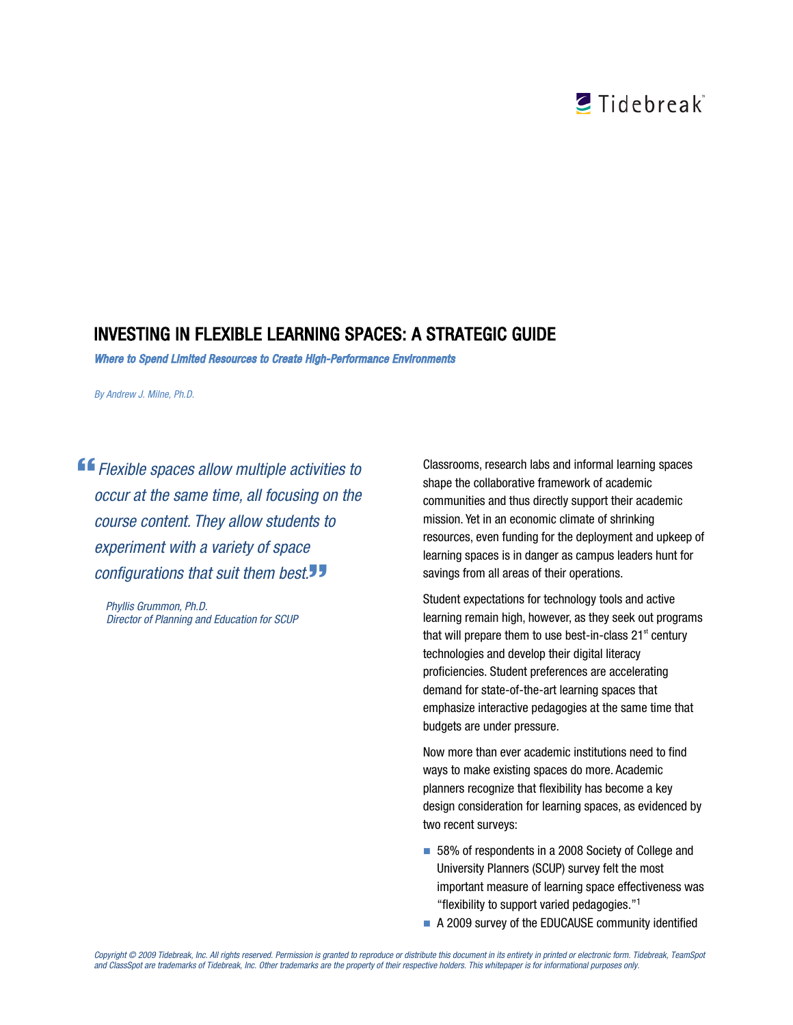# CTidebreak

## INVESTING IN FLEXIBLE LEARNING SPACES: A STRATEGIC GUIDE

*Where to Spend Limited Resources to Create High-Performance Environments* 

*By Andrew J. Milne, Ph.D.*

*Flexible spaces allow multiple activities to occur at the same time, all focusing on the course content. They allow students to experiment with a variety of space configurations that suit them best.*

*Phyllis Grummon, Ph.D. Director of Planning and Education for SCUP* Classrooms, research labs and informal learning spaces shape the collaborative framework of academic communities and thus directly support their academic mission. Yet in an economic climate of shrinking resources, even funding for the deployment and upkeep of learning spaces is in danger as campus leaders hunt for savings from all areas of their operations.

Student expectations for technology tools and active learning remain high, however, as they seek out programs that will prepare them to use best-in-class  $21<sup>st</sup>$  century technologies and develop their digital literacy proficiencies. Student preferences are accelerating demand for state-of-the-art learning spaces that emphasize interactive pedagogies at the same time that budgets are under pressure.

Now more than ever academic institutions need to find ways to make existing spaces do more. Academic planners recognize that flexibility has become a key design consideration for learning spaces, as evidenced by two recent surveys:

- 58% of respondents in a 2008 Society of College and University Planners (SCUP) survey felt the most important measure of learning space effectiveness was "flexibility to support varied pedagogies."1
- A 2009 survey of the EDUCAUSE community identified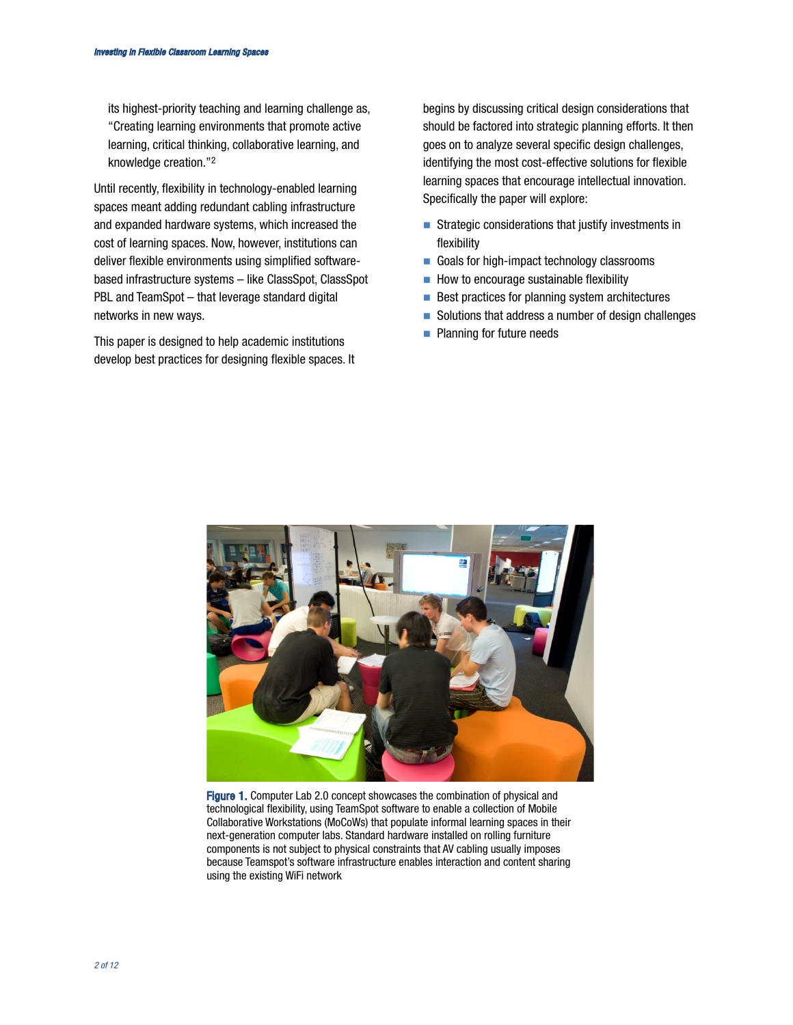its highest-priority teaching and learning challenge as, "Creating learning environments that promote active learning, critical thinking, collaborative learning, and knowledge creation."2

Until recently, flexibility in technology-enabled learning spaces meant adding redundant cabling infrastructure and expanded hardware systems, which increased the cost of learning spaces. Now, however, institutions can deliver flexible environments using simplified softwarebased infrastructure systems – like ClassSpot, ClassSpot PBL and TeamSpot – that leverage standard digital networks in new ways.

This paper is designed to help academic institutions develop best practices for designing flexible spaces. It begins by discussing critical design considerations that should be factored into strategic planning efforts. It then goes on to analyze several specific design challenges, identifying the most cost-effective solutions for flexible learning spaces that encourage intellectual innovation. Specifically the paper will explore:

- Strategic considerations that justify investments in flexibility
- Goals for high-impact technology classrooms
- $\blacksquare$  How to encourage sustainable flexibility
- $\blacksquare$  Best practices for planning system architectures
- Solutions that address a number of design challenges
- **Planning for future needs**



Figure 1. Computer Lab 2.0 concept showcases the combination of physical and technological flexibility, using TeamSpot software to enable a collection of Mobile Collaborative Workstations (MoCoWs) that populate informal learning spaces in their next-generation computer labs. Standard hardware installed on rolling furniture components is not subject to physical constraints that AV cabling usually imposes because Teamspot's software infrastructure enables interaction and content sharing using the existing WiFi network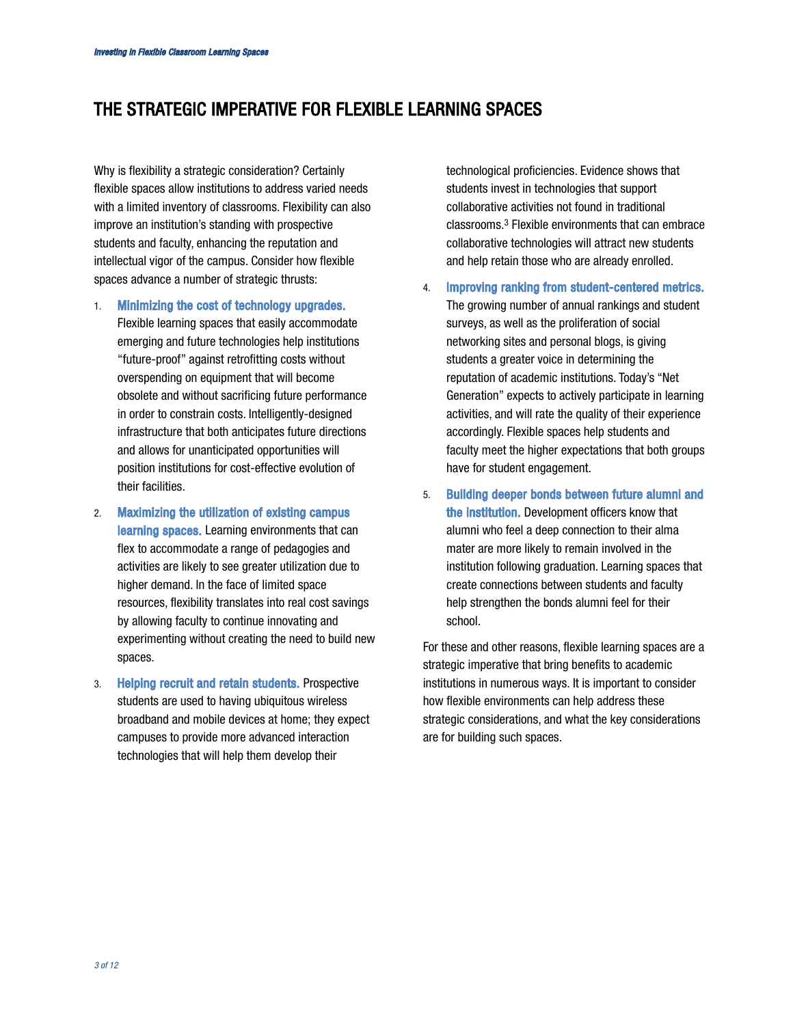## THE STRATEGIC IMPERATIVE FOR FLEXIBLE LEARNING SPACES

Why is flexibility a strategic consideration? Certainly flexible spaces allow institutions to address varied needs with a limited inventory of classrooms. Flexibility can also improve an institution's standing with prospective students and faculty, enhancing the reputation and intellectual vigor of the campus. Consider how flexible spaces advance a number of strategic thrusts:

- 1. Minimizing the cost of technology upgrades. Flexible learning spaces that easily accommodate emerging and future technologies help institutions "future-proof" against retrofitting costs without overspending on equipment that will become obsolete and without sacrificing future performance in order to constrain costs. Intelligently-designed infrastructure that both anticipates future directions and allows for unanticipated opportunities will position institutions for cost-effective evolution of their facilities.
- 2. Maximizing the utilization of existing campus learning spaces. Learning environments that can flex to accommodate a range of pedagogies and activities are likely to see greater utilization due to higher demand. In the face of limited space resources, flexibility translates into real cost savings by allowing faculty to continue innovating and experimenting without creating the need to build new spaces.
- 3. Helping recruit and retain students. Prospective students are used to having ubiquitous wireless broadband and mobile devices at home; they expect campuses to provide more advanced interaction technologies that will help them develop their

technological proficiencies. Evidence shows that students invest in technologies that support collaborative activities not found in traditional classrooms.3 Flexible environments that can embrace collaborative technologies will attract new students and help retain those who are already enrolled.

- 4. Improving ranking from student-centered metrics. The growing number of annual rankings and student surveys, as well as the proliferation of social networking sites and personal blogs, is giving students a greater voice in determining the reputation of academic institutions. Today's "Net Generation" expects to actively participate in learning activities, and will rate the quality of their experience accordingly. Flexible spaces help students and faculty meet the higher expectations that both groups have for student engagement.
- 5. Building deeper bonds between future alumni and the institution. Development officers know that alumni who feel a deep connection to their alma mater are more likely to remain involved in the institution following graduation. Learning spaces that create connections between students and faculty help strengthen the bonds alumni feel for their school.

For these and other reasons, flexible learning spaces are a strategic imperative that bring benefits to academic institutions in numerous ways. It is important to consider how flexible environments can help address these strategic considerations, and what the key considerations are for building such spaces.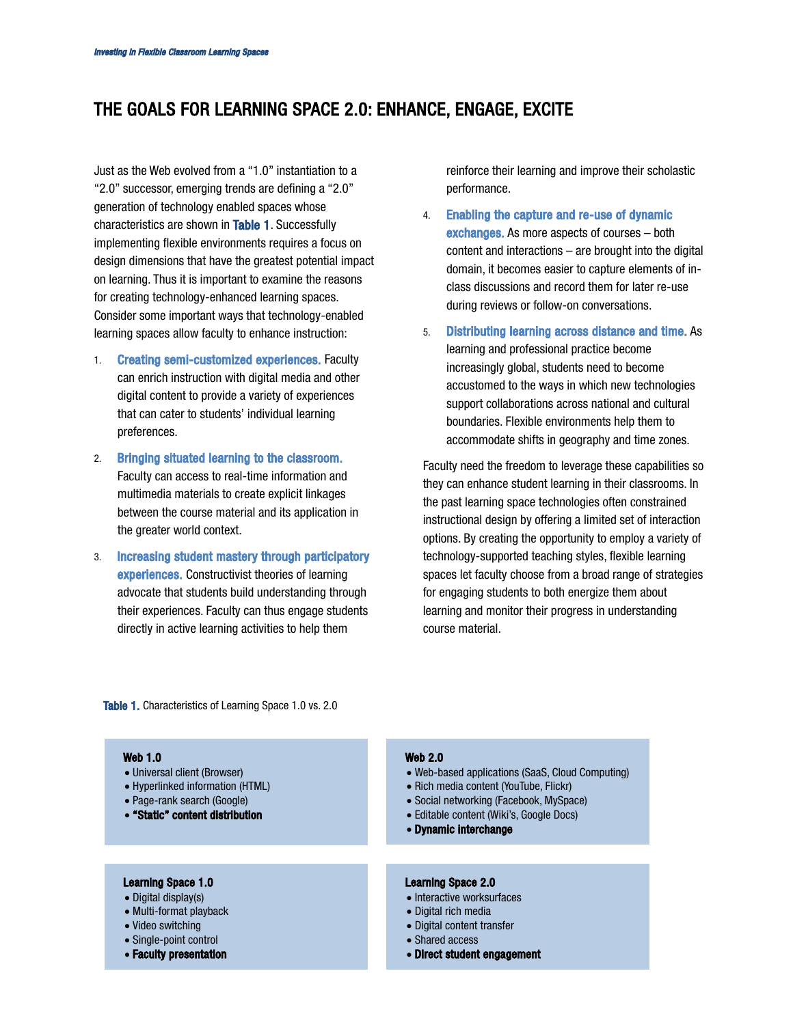## THE GOALS FOR LEARNING SPACE 2.0: ENHANCE, ENGAGE, EXCITE

Just as the Web evolved from a "1.0" instantiation to a "2.0" successor, emerging trends are defining a "2.0" generation of technology enabled spaces whose characteristics are shown in Table 1. Successfully implementing flexible environments requires a focus on design dimensions that have the greatest potential impact on learning. Thus it is important to examine the reasons for creating technology-enhanced learning spaces. Consider some important ways that technology-enabled learning spaces allow faculty to enhance instruction:

- 1. Creating semi-customized experiences. Faculty can enrich instruction with digital media and other digital content to provide a variety of experiences that can cater to students' individual learning preferences.
- 2. Bringing situated learning to the classroom. Faculty can access to real-time information and multimedia materials to create explicit linkages between the course material and its application in the greater world context.
- 3. Increasing student mastery through participatory experiences. Constructivist theories of learning advocate that students build understanding through their experiences. Faculty can thus engage students directly in active learning activities to help them

reinforce their learning and improve their scholastic performance.

- 4. Enabling the capture and re-use of dynamic exchanges. As more aspects of courses – both content and interactions – are brought into the digital domain, it becomes easier to capture elements of inclass discussions and record them for later re-use during reviews or follow-on conversations.
- 5. Distributing learning across distance and time. As learning and professional practice become increasingly global, students need to become accustomed to the ways in which new technologies support collaborations across national and cultural boundaries. Flexible environments help them to accommodate shifts in geography and time zones.

Faculty need the freedom to leverage these capabilities so they can enhance student learning in their classrooms. In the past learning space technologies often constrained instructional design by offering a limited set of interaction options. By creating the opportunity to employ a variety of technology-supported teaching styles, flexible learning spaces let faculty choose from a broad range of strategies for engaging students to both energize them about learning and monitor their progress in understanding course material.

Table 1. Characteristics of Learning Space 1.0 vs. 2.0

#### Web 1.0

- Universal client (Browser)
- Hyperlinked information (HTML)
- Page-rank search (Google)
- "Static" content distribution

#### Learning Space 1.0

- Digital display(s)
- Multi-format playback
- Video switching

*4 of 12*

- Single-point control
- Faculty presentation

#### Web 2.0

- Web-based applications (SaaS, Cloud Computing)
- Rich media content (YouTube, Flickr)
- Social networking (Facebook, MySpace)
- Editable content (Wiki's, Google Docs)
- Dynamic interchange

#### Learning Space 2.0

- Interactive worksurfaces
- Digital rich media
- Digital content transfer
- Shared access
- Direct student engagement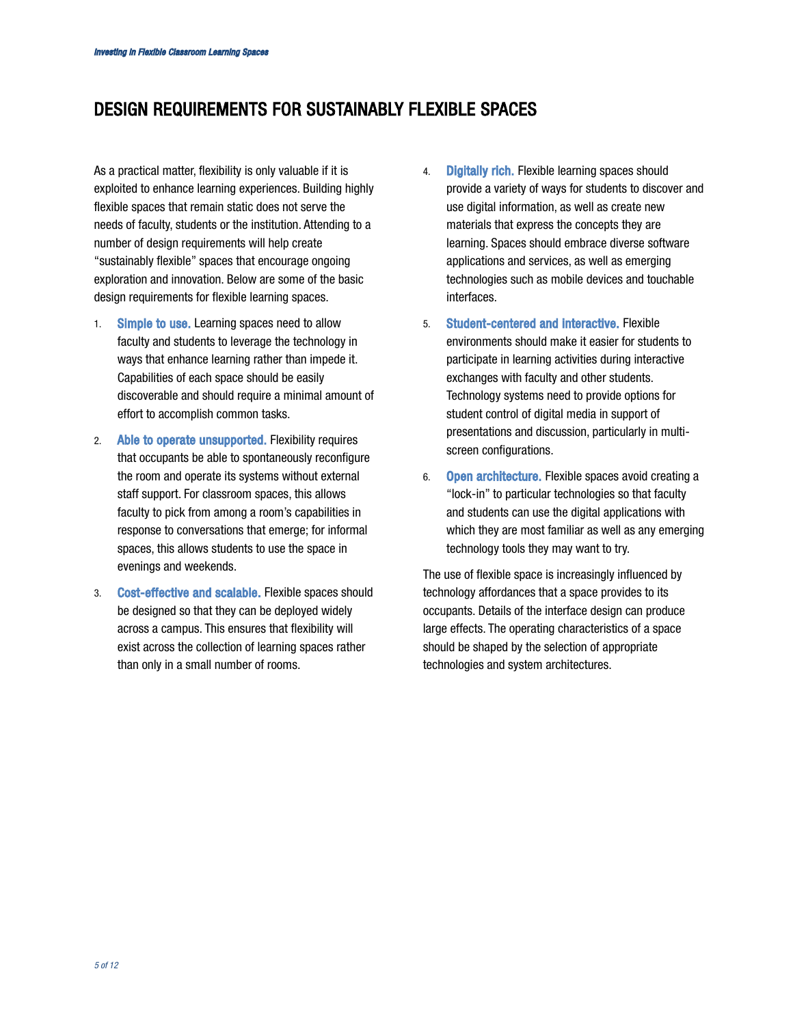## DESIGN REQUIREMENTS FOR SUSTAINABLY FLEXIBLE SPACES

As a practical matter, flexibility is only valuable if it is exploited to enhance learning experiences. Building highly flexible spaces that remain static does not serve the needs of faculty, students or the institution. Attending to a number of design requirements will help create "sustainably flexible" spaces that encourage ongoing exploration and innovation. Below are some of the basic design requirements for flexible learning spaces.

- 1. Simple to use. Learning spaces need to allow faculty and students to leverage the technology in ways that enhance learning rather than impede it. Capabilities of each space should be easily discoverable and should require a minimal amount of effort to accomplish common tasks.
- 2. Able to operate unsupported. Flexibility requires that occupants be able to spontaneously reconfigure the room and operate its systems without external staff support. For classroom spaces, this allows faculty to pick from among a room's capabilities in response to conversations that emerge; for informal spaces, this allows students to use the space in evenings and weekends.
- 3. Cost-effective and scalable. Flexible spaces should be designed so that they can be deployed widely across a campus. This ensures that flexibility will exist across the collection of learning spaces rather than only in a small number of rooms.
- 4. **Digitally rich.** Flexible learning spaces should provide a variety of ways for students to discover and use digital information, as well as create new materials that express the concepts they are learning. Spaces should embrace diverse software applications and services, as well as emerging technologies such as mobile devices and touchable interfaces.
- 5. Student-centered and interactive. Flexible environments should make it easier for students to participate in learning activities during interactive exchanges with faculty and other students. Technology systems need to provide options for student control of digital media in support of presentations and discussion, particularly in multiscreen configurations.
- 6. Open architecture. Flexible spaces avoid creating a "lock-in" to particular technologies so that faculty and students can use the digital applications with which they are most familiar as well as any emerging technology tools they may want to try.

The use of flexible space is increasingly influenced by technology affordances that a space provides to its occupants. Details of the interface design can produce large effects. The operating characteristics of a space should be shaped by the selection of appropriate technologies and system architectures.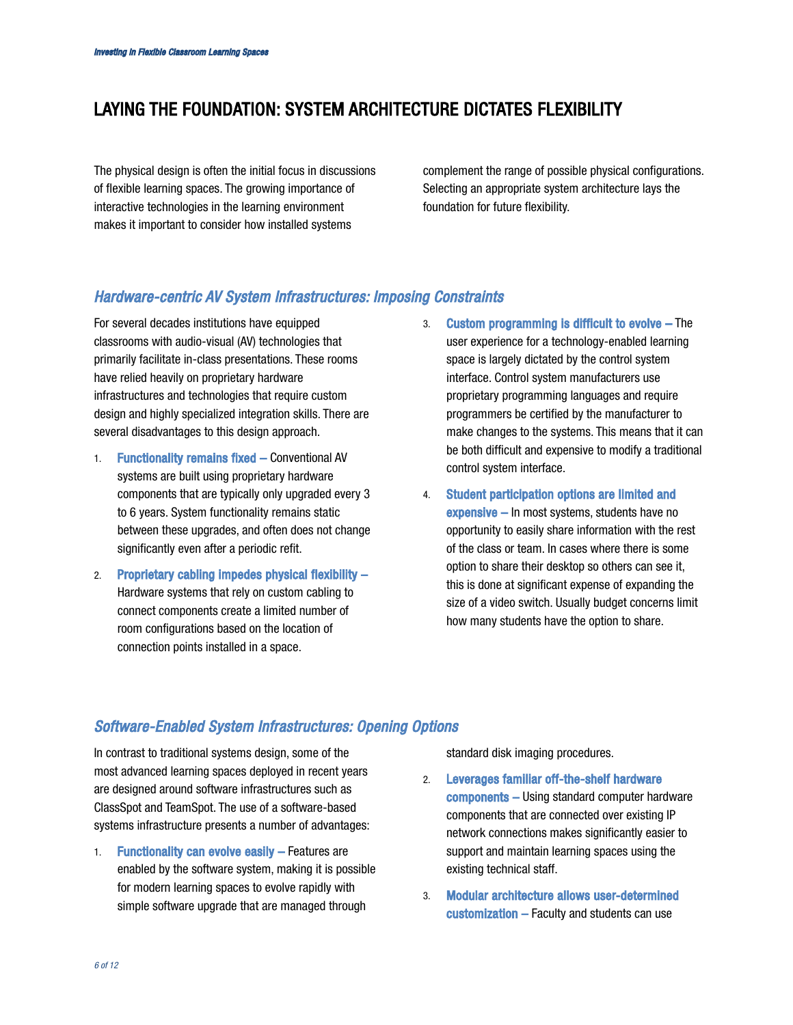## LAYING THE FOUNDATION: SYSTEM ARCHITECTURE DICTATES FLEXIBILITY

The physical design is often the initial focus in discussions of flexible learning spaces. The growing importance of interactive technologies in the learning environment makes it important to consider how installed systems

complement the range of possible physical configurations. Selecting an appropriate system architecture lays the foundation for future flexibility.

## *Hardware-centric AV System Infrastructures: Imposing Constraints*

For several decades institutions have equipped classrooms with audio-visual (AV) technologies that primarily facilitate in-class presentations. These rooms have relied heavily on proprietary hardware infrastructures and technologies that require custom design and highly specialized integration skills. There are several disadvantages to this design approach.

- 1. Functionality remains fixed Conventional AV systems are built using proprietary hardware components that are typically only upgraded every 3 to 6 years. System functionality remains static between these upgrades, and often does not change significantly even after a periodic refit.
- 2. Proprietary cabling impedes physical flexibility Hardware systems that rely on custom cabling to connect components create a limited number of room configurations based on the location of connection points installed in a space.
- 3. Custom programming is difficult to evolve The user experience for a technology-enabled learning space is largely dictated by the control system interface. Control system manufacturers use proprietary programming languages and require programmers be certified by the manufacturer to make changes to the systems. This means that it can be both difficult and expensive to modify a traditional control system interface.
- 4. Student participation options are limited and expensive – In most systems, students have no opportunity to easily share information with the rest of the class or team. In cases where there is some option to share their desktop so others can see it, this is done at significant expense of expanding the size of a video switch. Usually budget concerns limit how many students have the option to share.

## *Software-Enabled System Infrastructures: Opening Options*

In contrast to traditional systems design, some of the most advanced learning spaces deployed in recent years are designed around software infrastructures such as ClassSpot and TeamSpot. The use of a software-based systems infrastructure presents a number of advantages:

1. Functionality can evolve easily – Features are enabled by the software system, making it is possible for modern learning spaces to evolve rapidly with simple software upgrade that are managed through

standard disk imaging procedures.

- 2. Leverages familiar off-the-shelf hardware components – Using standard computer hardware components that are connected over existing IP network connections makes significantly easier to support and maintain learning spaces using the existing technical staff.
- 3. Modular architecture allows user-determined customization – Faculty and students can use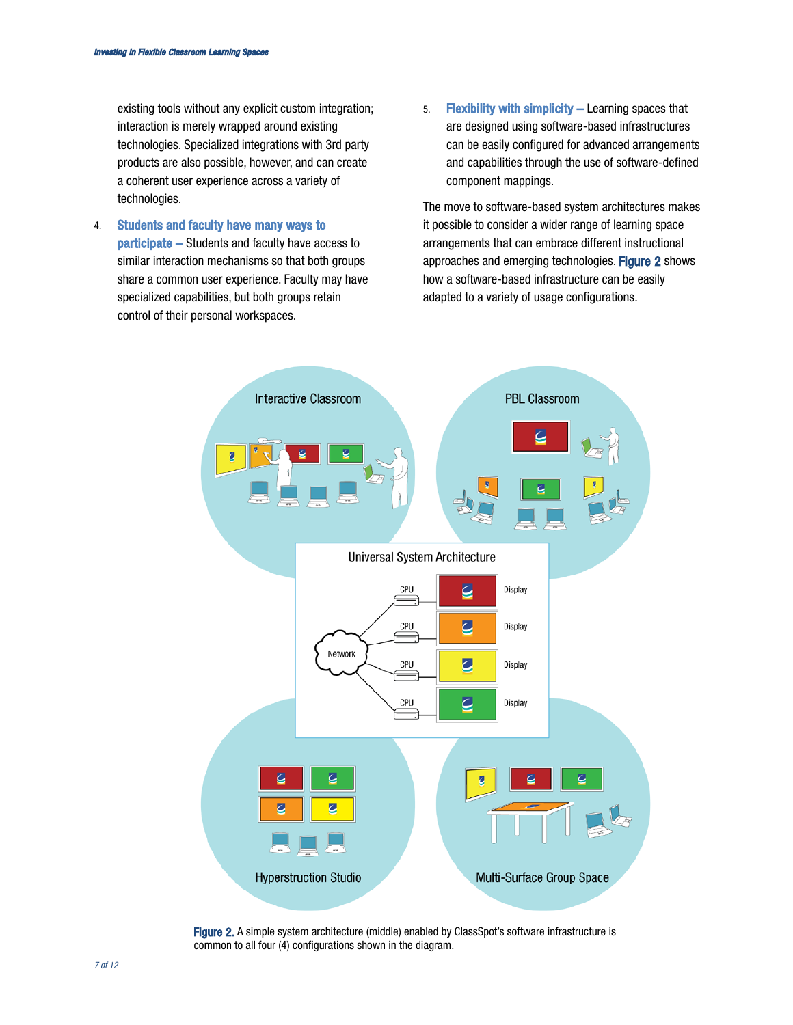existing tools without any explicit custom integration; interaction is merely wrapped around existing technologies. Specialized integrations with 3rd party products are also possible, however, and can create a coherent user experience across a variety of technologies.

- 4. Students and faculty have many ways to participate – Students and faculty have access to similar interaction mechanisms so that both groups share a common user experience. Faculty may have specialized capabilities, but both groups retain control of their personal workspaces.
- 5. Flexibility with simplicity Learning spaces that are designed using software-based infrastructures can be easily configured for advanced arrangements and capabilities through the use of software-defined component mappings.

The move to software-based system architectures makes it possible to consider a wider range of learning space arrangements that can embrace different instructional approaches and emerging technologies. Figure 2 shows how a software-based infrastructure can be easily adapted to a variety of usage configurations.



Figure 2. A simple system architecture (middle) enabled by ClassSpot's software infrastructure is common to all four (4) configurations shown in the diagram.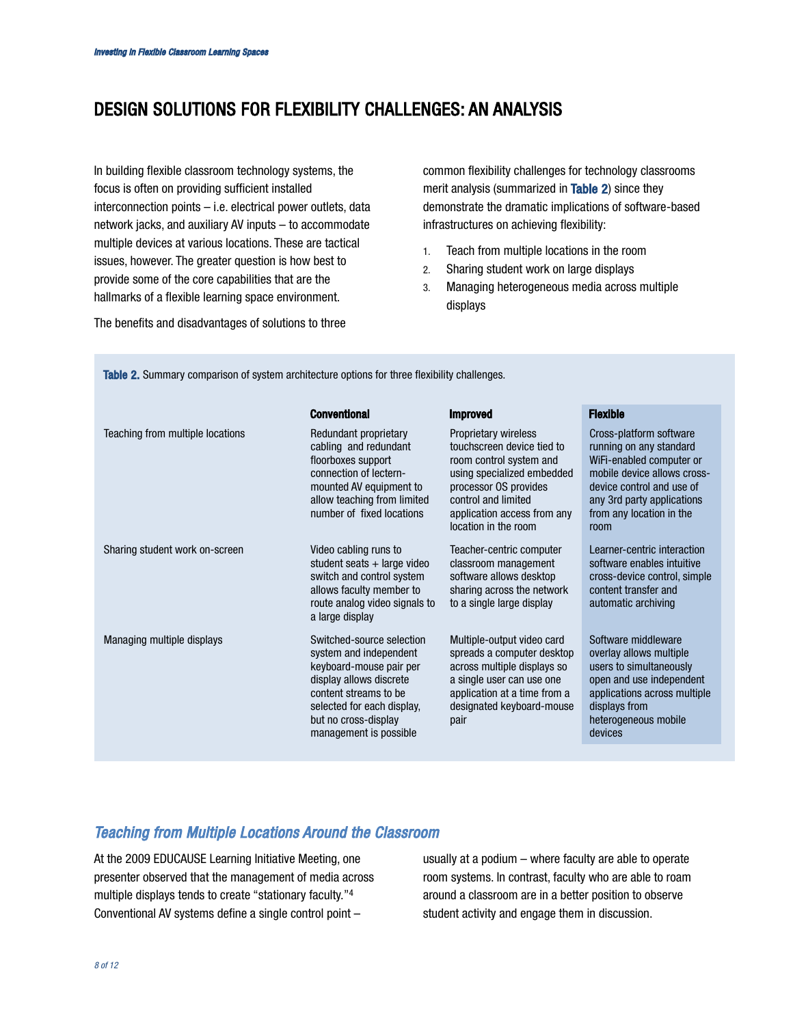## DESIGN SOLUTIONS FOR FLEXIBILITY CHALLENGES: AN ANALYSIS

In building flexible classroom technology systems, the focus is often on providing sufficient installed interconnection points – i.e. electrical power outlets, data network jacks, and auxiliary AV inputs – to accommodate multiple devices at various locations. These are tactical issues, however. The greater question is how best to provide some of the core capabilities that are the hallmarks of a flexible learning space environment.

common flexibility challenges for technology classrooms merit analysis (summarized in Table 2) since they demonstrate the dramatic implications of software-based infrastructures on achieving flexibility:

- 1. Teach from multiple locations in the room
- 2. Sharing student work on large displays
- 3. Managing heterogeneous media across multiple displays

The benefits and disadvantages of solutions to three

|                                  | <b>Conventional</b>                                                                                                                                                                                                | <b>Improved</b>                                                                                                                                                                                                    | <b>Flexible</b>                                                                                                                                                                                              |
|----------------------------------|--------------------------------------------------------------------------------------------------------------------------------------------------------------------------------------------------------------------|--------------------------------------------------------------------------------------------------------------------------------------------------------------------------------------------------------------------|--------------------------------------------------------------------------------------------------------------------------------------------------------------------------------------------------------------|
| Teaching from multiple locations | Redundant proprietary<br>cabling and redundant<br>floorboxes support<br>connection of lectern-<br>mounted AV equipment to<br>allow teaching from limited<br>number of fixed locations                              | Proprietary wireless<br>touchscreen device tied to<br>room control system and<br>using specialized embedded<br>processor OS provides<br>control and limited<br>application access from any<br>location in the room | Cross-platform software<br>running on any standard<br>WiFi-enabled computer or<br>mobile device allows cross-<br>device control and use of<br>any 3rd party applications<br>from any location in the<br>room |
| Sharing student work on-screen   | Video cabling runs to<br>student seats $+$ large video<br>switch and control system<br>allows faculty member to<br>route analog video signals to<br>a large display                                                | Teacher-centric computer<br>classroom management<br>software allows desktop<br>sharing across the network<br>to a single large display                                                                             | Learner-centric interaction<br>software enables intuitive<br>cross-device control, simple<br>content transfer and<br>automatic archiving                                                                     |
| Managing multiple displays       | Switched-source selection<br>system and independent<br>keyboard-mouse pair per<br>display allows discrete<br>content streams to be<br>selected for each display,<br>but no cross-display<br>management is possible | Multiple-output video card<br>spreads a computer desktop<br>across multiple displays so<br>a single user can use one<br>application at a time from a<br>designated keyboard-mouse<br>pair                          | Software middleware<br>overlay allows multiple<br>users to simultaneously<br>open and use independent<br>applications across multiple<br>displays from<br>heterogeneous mobile<br>devices                    |
|                                  |                                                                                                                                                                                                                    |                                                                                                                                                                                                                    |                                                                                                                                                                                                              |

Table 2. Summary comparison of system architecture options for three flexibility challenges.

## *Teaching from Multiple Locations Around the Classroom*

At the 2009 EDUCAUSE Learning Initiative Meeting, one presenter observed that the management of media across multiple displays tends to create "stationary faculty."4 Conventional AV systems define a single control point –

usually at a podium – where faculty are able to operate room systems. In contrast, faculty who are able to roam around a classroom are in a better position to observe student activity and engage them in discussion.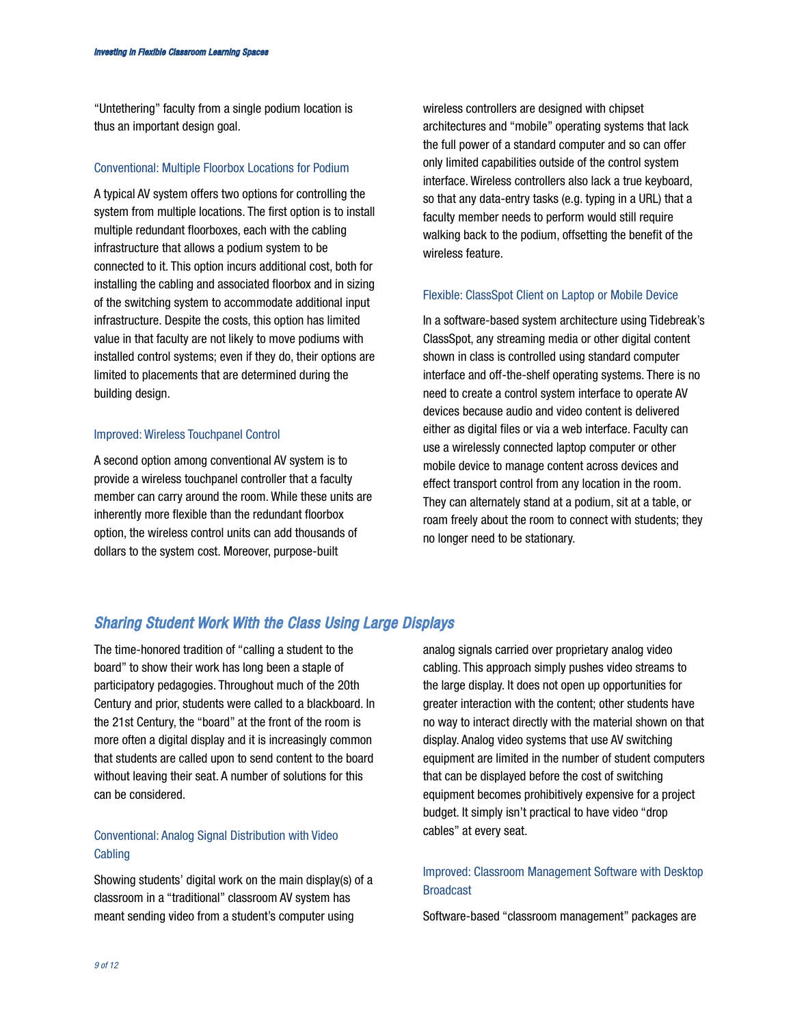"Untethering" faculty from a single podium location is thus an important design goal.

#### Conventional: Multiple Floorbox Locations for Podium

A typical AV system offers two options for controlling the system from multiple locations. The first option is to install multiple redundant floorboxes, each with the cabling infrastructure that allows a podium system to be connected to it. This option incurs additional cost, both for installing the cabling and associated floorbox and in sizing of the switching system to accommodate additional input infrastructure. Despite the costs, this option has limited value in that faculty are not likely to move podiums with installed control systems; even if they do, their options are limited to placements that are determined during the building design.

#### Improved: Wireless Touchpanel Control

A second option among conventional AV system is to provide a wireless touchpanel controller that a faculty member can carry around the room. While these units are inherently more flexible than the redundant floorbox option, the wireless control units can add thousands of dollars to the system cost. Moreover, purpose-built

wireless controllers are designed with chipset architectures and "mobile" operating systems that lack the full power of a standard computer and so can offer only limited capabilities outside of the control system interface. Wireless controllers also lack a true keyboard, so that any data-entry tasks (e.g. typing in a URL) that a faculty member needs to perform would still require walking back to the podium, offsetting the benefit of the wireless feature.

#### Flexible: ClassSpot Client on Laptop or Mobile Device

In a software-based system architecture using Tidebreak's ClassSpot, any streaming media or other digital content shown in class is controlled using standard computer interface and off-the-shelf operating systems. There is no need to create a control system interface to operate AV devices because audio and video content is delivered either as digital files or via a web interface. Faculty can use a wirelessly connected laptop computer or other mobile device to manage content across devices and effect transport control from any location in the room. They can alternately stand at a podium, sit at a table, or roam freely about the room to connect with students; they no longer need to be stationary.

### *Sharing Student Work With the Class Using Large Displays*

The time-honored tradition of "calling a student to the board" to show their work has long been a staple of participatory pedagogies. Throughout much of the 20th Century and prior, students were called to a blackboard. In the 21st Century, the "board" at the front of the room is more often a digital display and it is increasingly common that students are called upon to send content to the board without leaving their seat. A number of solutions for this can be considered.

### Conventional: Analog Signal Distribution with Video **Cabling**

Showing students' digital work on the main display(s) of a classroom in a "traditional" classroom AV system has meant sending video from a student's computer using

analog signals carried over proprietary analog video cabling. This approach simply pushes video streams to the large display. It does not open up opportunities for greater interaction with the content; other students have no way to interact directly with the material shown on that display. Analog video systems that use AV switching equipment are limited in the number of student computers that can be displayed before the cost of switching equipment becomes prohibitively expensive for a project budget. It simply isn't practical to have video "drop cables" at every seat.

### Improved: Classroom Management Software with Desktop Broadcast

Software-based "classroom management" packages are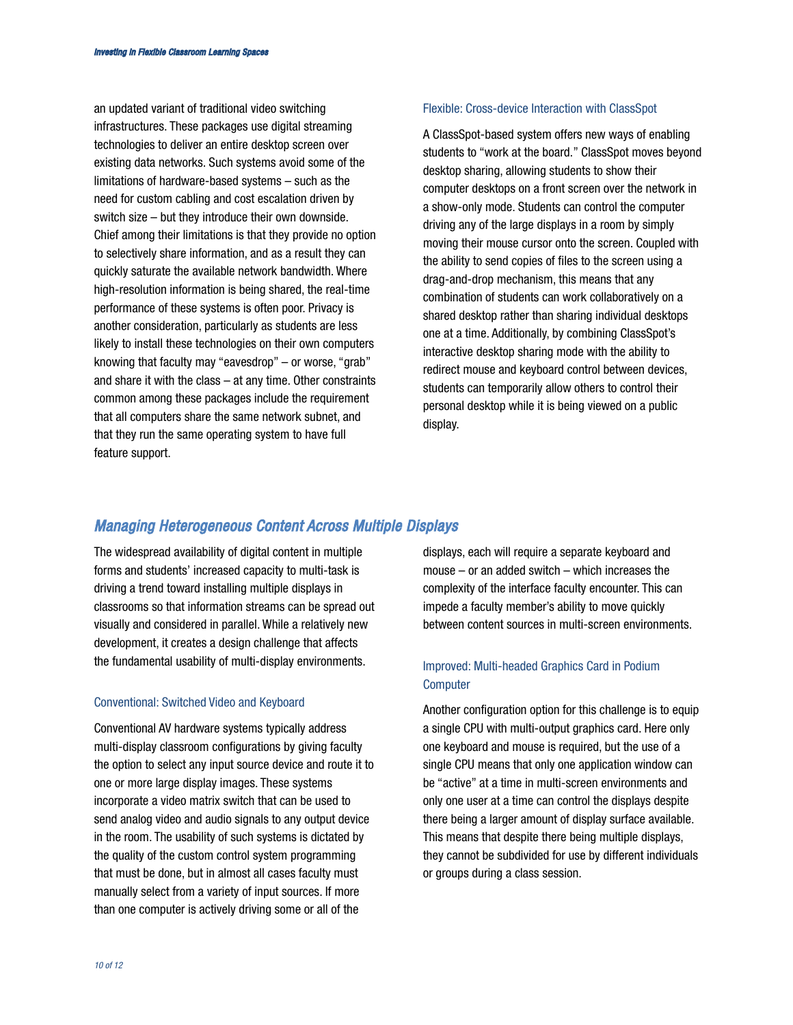an updated variant of traditional video switching infrastructures. These packages use digital streaming technologies to deliver an entire desktop screen over existing data networks. Such systems avoid some of the limitations of hardware-based systems – such as the need for custom cabling and cost escalation driven by switch size – but they introduce their own downside. Chief among their limitations is that they provide no option to selectively share information, and as a result they can quickly saturate the available network bandwidth. Where high-resolution information is being shared, the real-time performance of these systems is often poor. Privacy is another consideration, particularly as students are less likely to install these technologies on their own computers knowing that faculty may "eavesdrop" – or worse, "grab" and share it with the class – at any time. Other constraints common among these packages include the requirement that all computers share the same network subnet, and that they run the same operating system to have full feature support.

#### Flexible: Cross-device Interaction with ClassSpot

A ClassSpot-based system offers new ways of enabling students to "work at the board." ClassSpot moves beyond desktop sharing, allowing students to show their computer desktops on a front screen over the network in a show-only mode. Students can control the computer driving any of the large displays in a room by simply moving their mouse cursor onto the screen. Coupled with the ability to send copies of files to the screen using a drag-and-drop mechanism, this means that any combination of students can work collaboratively on a shared desktop rather than sharing individual desktops one at a time. Additionally, by combining ClassSpot's interactive desktop sharing mode with the ability to redirect mouse and keyboard control between devices, students can temporarily allow others to control their personal desktop while it is being viewed on a public display.

#### *Managing Heterogeneous Content Across Multiple Displays*

The widespread availability of digital content in multiple forms and students' increased capacity to multi-task is driving a trend toward installing multiple displays in classrooms so that information streams can be spread out visually and considered in parallel. While a relatively new development, it creates a design challenge that affects the fundamental usability of multi-display environments.

#### Conventional: Switched Video and Keyboard

Conventional AV hardware systems typically address multi-display classroom configurations by giving faculty the option to select any input source device and route it to one or more large display images. These systems incorporate a video matrix switch that can be used to send analog video and audio signals to any output device in the room. The usability of such systems is dictated by the quality of the custom control system programming that must be done, but in almost all cases faculty must manually select from a variety of input sources. If more than one computer is actively driving some or all of the

displays, each will require a separate keyboard and mouse – or an added switch – which increases the complexity of the interface faculty encounter. This can impede a faculty member's ability to move quickly between content sources in multi-screen environments.

### Improved: Multi-headed Graphics Card in Podium **Computer**

Another configuration option for this challenge is to equip a single CPU with multi-output graphics card. Here only one keyboard and mouse is required, but the use of a single CPU means that only one application window can be "active" at a time in multi-screen environments and only one user at a time can control the displays despite there being a larger amount of display surface available. This means that despite there being multiple displays, they cannot be subdivided for use by different individuals or groups during a class session.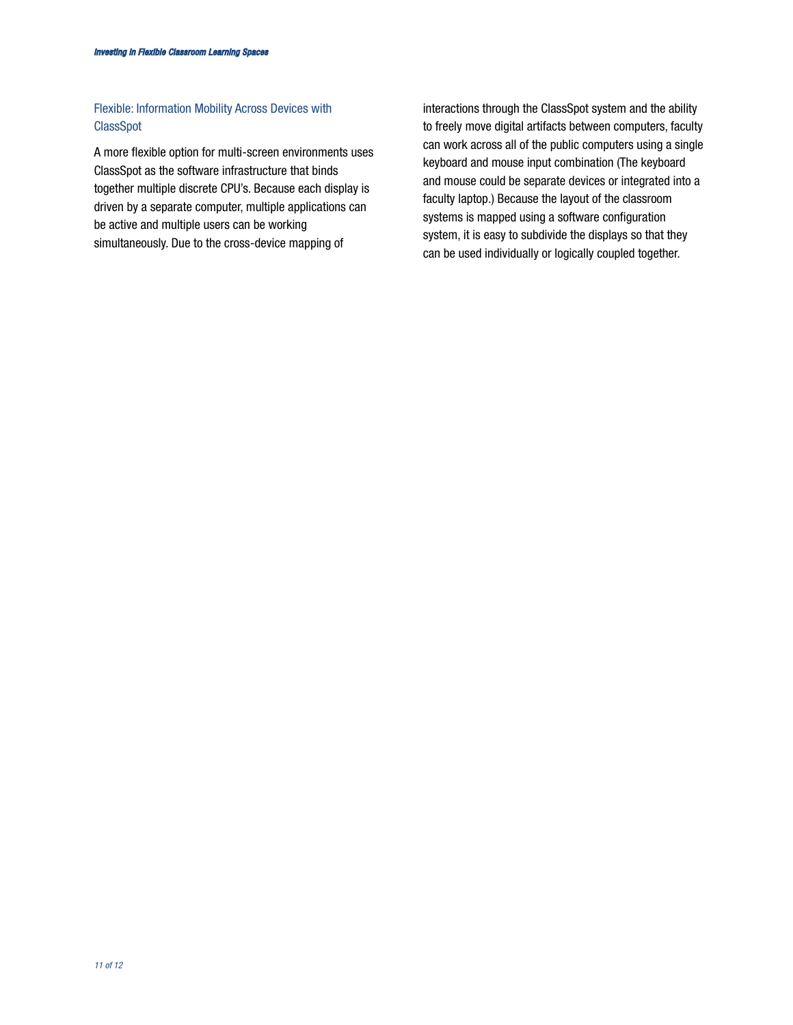## Flexible: Information Mobility Across Devices with ClassSpot

A more flexible option for multi-screen environments uses ClassSpot as the software infrastructure that binds together multiple discrete CPU's. Because each display is driven by a separate computer, multiple applications can be active and multiple users can be working simultaneously. Due to the cross-device mapping of

interactions through the ClassSpot system and the ability to freely move digital artifacts between computers, faculty can work across all of the public computers using a single keyboard and mouse input combination (The keyboard and mouse could be separate devices or integrated into a faculty laptop.) Because the layout of the classroom systems is mapped using a software configuration system, it is easy to subdivide the displays so that they can be used individually or logically coupled together.